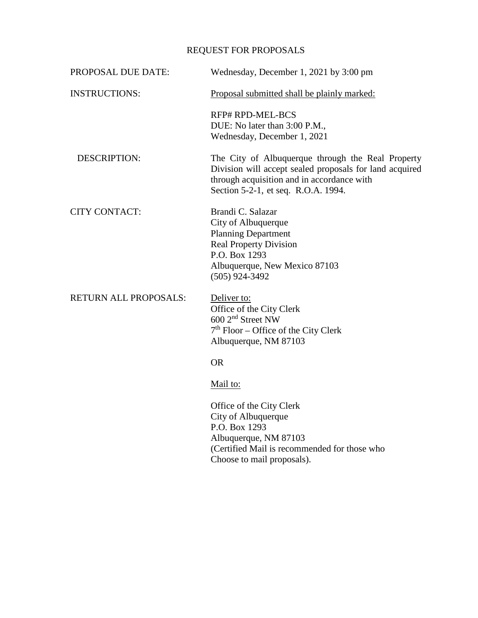## REQUEST FOR PROPOSALS

| PROPOSAL DUE DATE:           | Wednesday, December 1, 2021 by 3:00 pm                                                                                                                                                            |
|------------------------------|---------------------------------------------------------------------------------------------------------------------------------------------------------------------------------------------------|
| <b>INSTRUCTIONS:</b>         | Proposal submitted shall be plainly marked:                                                                                                                                                       |
|                              | <b>RFP# RPD-MEL-BCS</b><br>DUE: No later than 3:00 P.M.,<br>Wednesday, December 1, 2021                                                                                                           |
| <b>DESCRIPTION:</b>          | The City of Albuquerque through the Real Property<br>Division will accept sealed proposals for land acquired<br>through acquisition and in accordance with<br>Section 5-2-1, et seq. R.O.A. 1994. |
| <b>CITY CONTACT:</b>         | Brandi C. Salazar<br>City of Albuquerque<br><b>Planning Department</b><br><b>Real Property Division</b><br>P.O. Box 1293<br>Albuquerque, New Mexico 87103<br>$(505)$ 924-3492                     |
| <b>RETURN ALL PROPOSALS:</b> | Deliver to:<br>Office of the City Clerk<br>600 2 <sup>nd</sup> Street NW<br>$7th$ Floor – Office of the City Clerk<br>Albuquerque, NM 87103                                                       |
|                              | <b>OR</b>                                                                                                                                                                                         |
|                              | Mail to:                                                                                                                                                                                          |
|                              | Office of the City Clerk<br>City of Albuquerque<br>P.O. Box 1293<br>Albuquerque, NM 87103<br>(Certified Mail is recommended for those who<br>Choose to mail proposals).                           |